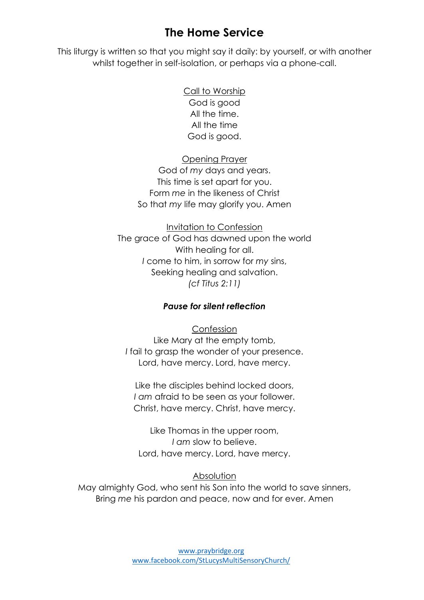# **The Home Service**

This liturgy is written so that you might say it daily: by yourself, or with another whilst together in self-isolation, or perhaps via a phone-call.

> Call to Worship God is good All the time. All the time God is good.

Opening Prayer God of *my* days and years. This time is set apart for you. Form *me* in the likeness of Christ So that *my* life may glorify you. Amen

Invitation to Confession The grace of God has dawned upon the world With healing for all. *I* come to him, in sorrow for *my* sins, Seeking healing and salvation. *(cf Titus 2:11)*

### *Pause for silent reflection*

Confession Like Mary at the empty tomb, *I* fail to grasp the wonder of your presence. Lord, have mercy. Lord, have mercy.

Like the disciples behind locked doors, *I am* afraid to be seen as your follower. Christ, have mercy. Christ, have mercy.

Like Thomas in the upper room, *I am* slow to believe. Lord, have mercy. Lord, have mercy.

#### Absolution

May almighty God, who sent his Son into the world to save sinners, Bring *me* his pardon and peace, now and for ever. Amen